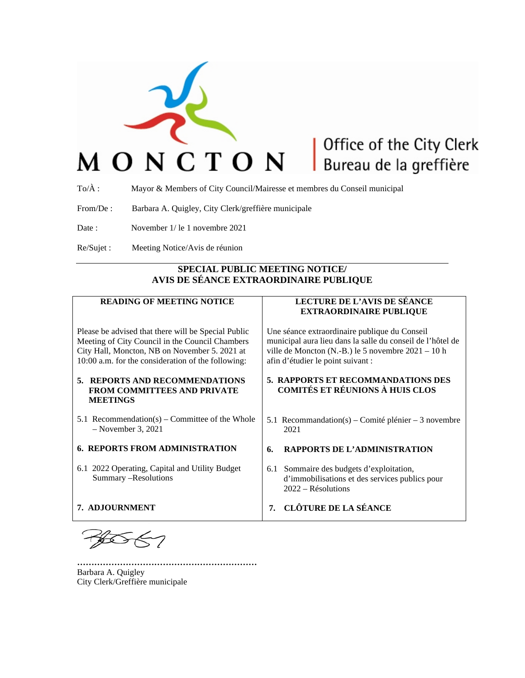

# Office of the City Clerk Bureau de la greffière

To/À : Mayor & Members of City Council/Mairesse et membres du Conseil municipal

From/De : Barbara A. Quigley, City Clerk/greffière municipale

Date : November 1/ le 1 novembre 2021

Re/Sujet : Meeting Notice/Avis de réunion

## **SPECIAL PUBLIC MEETING NOTICE/ AVIS DE SÉANCE EXTRAORDINAIRE PUBLIQUE**

## **READING OF MEETING NOTICE**

Please be advised that there will be Special Public Meeting of City Council in the Council Chambers City Hall, Moncton, NB on November 5. 2021 at 10:00 a.m. for the consideration of the following:

#### **5. REPORTS AND RECOMMENDATIONS FROM COMMITTEES AND PRIVATE MEETINGS**

- 5.1 Recommendation(s) Committee of the Whole – November 3, 2021
- **6. REPORTS FROM ADMINISTRATION**
- 6.1 2022 Operating, Capital and Utility Budget Summary –Resolutions

**………………………………………………………**

**7. ADJOURNMENT**

## **LECTURE DE L'AVIS DE SÉANCE EXTRAORDINAIRE PUBLIQUE**

Une séance extraordinaire publique du Conseil municipal aura lieu dans la salle du conseil de l'hôtel de ville de Moncton (N.-B.) le 5 novembre 2021 – 10 h afin d'étudier le point suivant :

#### **5. RAPPORTS ET RECOMMANDATIONS DES COMITÉS ET RÉUNIONS À HUIS CLOS**

- 5.1 Recommandation(s) Comité plénier 3 novembre 2021
- **6. RAPPORTS DE L'ADMINISTRATION**
- 6.1 Sommaire des budgets d'exploitation, d'immobilisations et des services publics pour 2022 – Résolutions
- **7. CLÔTURE DE LA SÉANCE**

Barbara A. Quigley City Clerk/Greffière municipale